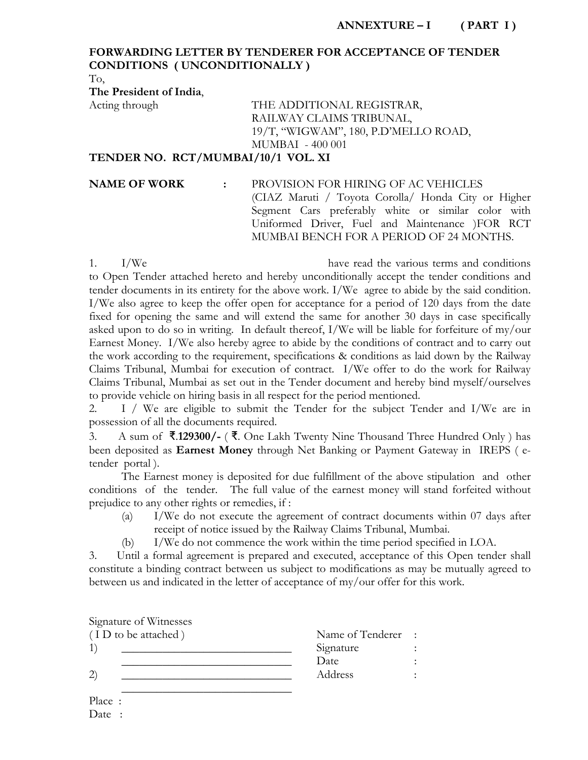## **FORWARDING LETTER BY TENDERER FOR ACCEPTANCE OF TENDER CONDITIONS ( UNCONDITIONALLY )**

To,

**The President of India**,

# Acting through THE ADDITIONAL REGISTRAR, RAILWAY CLAIMS TRIBUNAL, 19/T, "WIGWAM", 180, P.D'MELLO ROAD, MUMBAI - 400 001

**TENDER NO. RCT/MUMBAI/10/1 VOL. XI** 

#### **NAME OF WORK :** PROVISION FOR HIRING OF AC VEHICLES

(CIAZ Maruti / Toyota Corolla/ Honda City or Higher Segment Cars preferably white or similar color with Uniformed Driver, Fuel and Maintenance )FOR RCT MUMBAI BENCH FOR A PERIOD OF 24 MONTHS.

1. I/We have read the various terms and conditions to Open Tender attached hereto and hereby unconditionally accept the tender conditions and tender documents in its entirety for the above work. I/We agree to abide by the said condition. I/We also agree to keep the offer open for acceptance for a period of 120 days from the date fixed for opening the same and will extend the same for another 30 days in case specifically asked upon to do so in writing. In default thereof, I/We will be liable for forfeiture of my/our Earnest Money. I/We also hereby agree to abide by the conditions of contract and to carry out the work according to the requirement, specifications & conditions as laid down by the Railway Claims Tribunal, Mumbai for execution of contract. I/We offer to do the work for Railway Claims Tribunal, Mumbai as set out in the Tender document and hereby bind myself/ourselves to provide vehicle on hiring basis in all respect for the period mentioned.

2. I / We are eligible to submit the Tender for the subject Tender and I/We are in possession of all the documents required.

3. A sum of ₹.**129300/-** ( ₹. One Lakh Twenty Nine Thousand Three Hundred Only ) has been deposited as **Earnest Money** through Net Banking or Payment Gateway in IREPS ( etender portal ).

 The Earnest money is deposited for due fulfillment of the above stipulation and other conditions of the tender. The full value of the earnest money will stand forfeited without prejudice to any other rights or remedies, if :

- (a) I/We do not execute the agreement of contract documents within 07 days after receipt of notice issued by the Railway Claims Tribunal, Mumbai.
- (b) I/We do not commence the work within the time period specified in LOA.

3. Until a formal agreement is prepared and executed, acceptance of this Open tender shall constitute a binding contract between us subject to modifications as may be mutually agreed to between us and indicated in the letter of acceptance of my/our offer for this work.

| Signature of Witnesses |                  |           |
|------------------------|------------------|-----------|
| (ID to be attached)    | Name of Tenderer | $\sim$ 1. |
|                        | Signature        |           |
|                        | Date             |           |
| $\left( 2\right)$      | Address          |           |
|                        |                  |           |
|                        |                  |           |

Place : Date :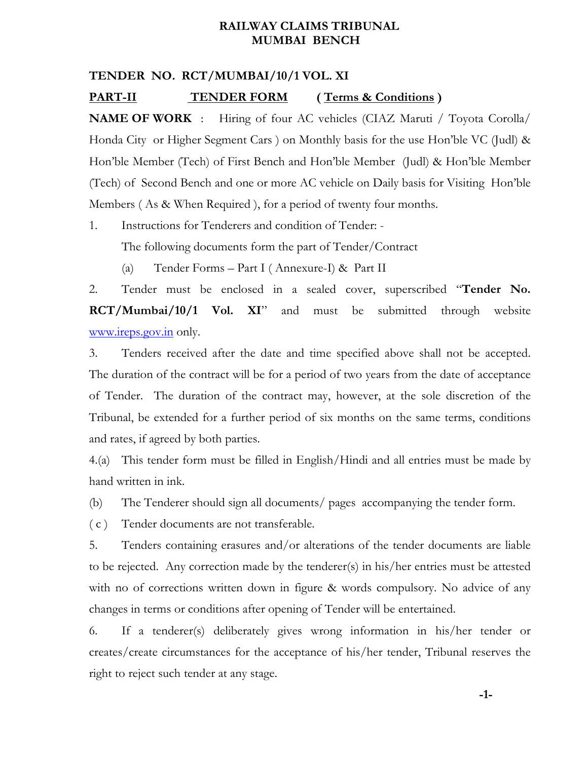## **RAILWAY CLAIMS TRIBUNAL MUMBAI BENCH**

### **TENDER NO. RCT/MUMBAI/10/1 VOL. XI**

#### **PART-II TENDER FORM ( Terms & Conditions )**

**NAME OF WORK** : Hiring of four AC vehicles (CIAZ Maruti / Toyota Corolla/ Honda City or Higher Segment Cars ) on Monthly basis for the use Hon'ble VC (Judl) & Hon'ble Member (Tech) of First Bench and Hon'ble Member (Judl) & Hon'ble Member (Tech) of Second Bench and one or more AC vehicle on Daily basis for Visiting Hon'ble Members ( As & When Required ), for a period of twenty four months.

1. Instructions for Tenderers and condition of Tender: -

The following documents form the part of Tender/Contract

(a) Tender Forms – Part I ( Annexure-I) & Part II

2. Tender must be enclosed in a sealed cover, superscribed "**Tender No. RCT/Mumbai/10/1 Vol. XI**" and must be submitted through website www.ireps.gov.in only.

3. Tenders received after the date and time specified above shall not be accepted. The duration of the contract will be for a period of two years from the date of acceptance of Tender. The duration of the contract may, however, at the sole discretion of the Tribunal, be extended for a further period of six months on the same terms, conditions and rates, if agreed by both parties.

4.(a) This tender form must be filled in English/Hindi and all entries must be made by hand written in ink.

(b) The Tenderer should sign all documents/ pages accompanying the tender form.

( c ) Tender documents are not transferable.

5. Tenders containing erasures and/or alterations of the tender documents are liable to be rejected. Any correction made by the tenderer(s) in his/her entries must be attested with no of corrections written down in figure & words compulsory. No advice of any changes in terms or conditions after opening of Tender will be entertained.

6. If a tenderer(s) deliberately gives wrong information in his/her tender or creates/create circumstances for the acceptance of his/her tender, Tribunal reserves the right to reject such tender at any stage.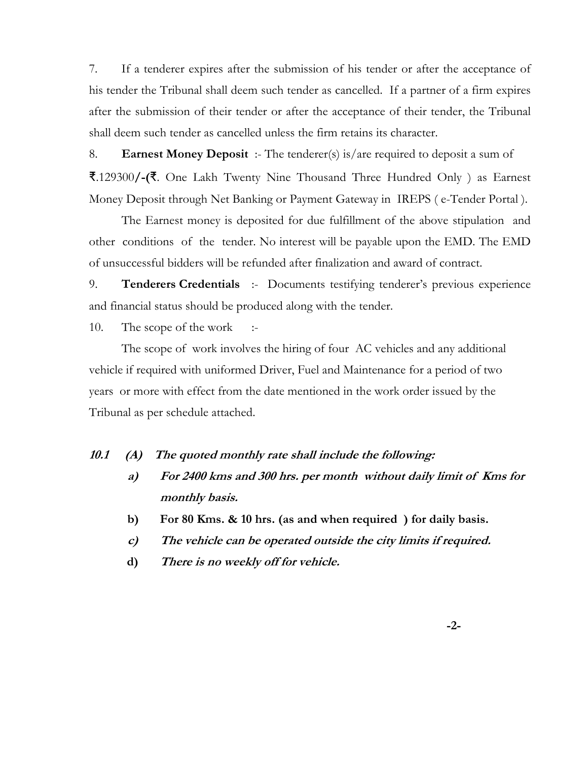7. If a tenderer expires after the submission of his tender or after the acceptance of his tender the Tribunal shall deem such tender as cancelled. If a partner of a firm expires after the submission of their tender or after the acceptance of their tender, the Tribunal shall deem such tender as cancelled unless the firm retains its character.

8. **Earnest Money Deposit** :- The tenderer(s) is/are required to deposit a sum of ₹.129300**/-(**₹. One Lakh Twenty Nine Thousand Three Hundred Only ) as Earnest Money Deposit through Net Banking or Payment Gateway in IREPS ( e-Tender Portal ).

 The Earnest money is deposited for due fulfillment of the above stipulation and other conditions of the tender. No interest will be payable upon the EMD. The EMD of unsuccessful bidders will be refunded after finalization and award of contract.

9. **Tenderers Credentials** :- Documents testifying tenderer's previous experience and financial status should be produced along with the tender.

10. The scope of the work :-

 The scope of work involves the hiring of four AC vehicles and any additional vehicle if required with uniformed Driver, Fuel and Maintenance for a period of two years or more with effect from the date mentioned in the work order issued by the Tribunal as per schedule attached.

#### **10.1 (A) The quoted monthly rate shall include the following:**

- **a) For 2400 kms and 300 hrs. per month without daily limit of Kms for monthly basis.**
- **b) For 80 Kms. & 10 hrs. (as and when required ) for daily basis.**
- **c) The vehicle can be operated outside the city limits if required.**
- **d) There is no weekly off for vehicle.**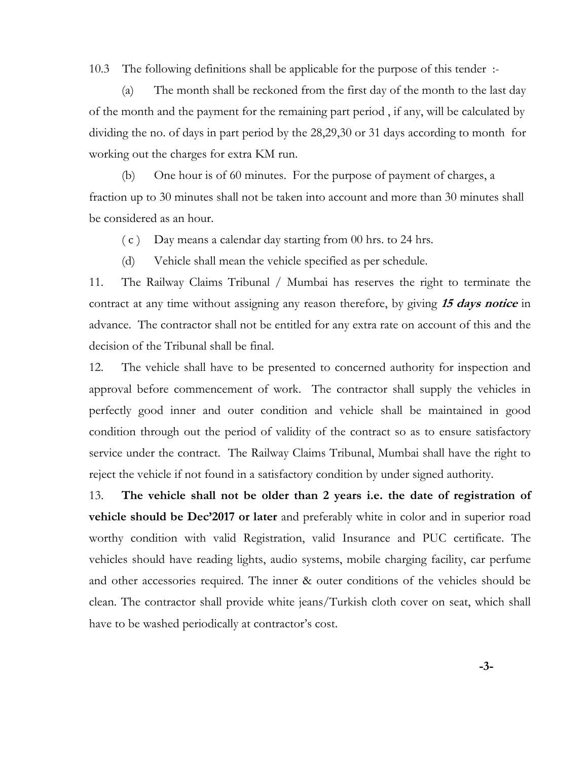10.3 The following definitions shall be applicable for the purpose of this tender :-

 (a) The month shall be reckoned from the first day of the month to the last day of the month and the payment for the remaining part period , if any, will be calculated by dividing the no. of days in part period by the 28,29,30 or 31 days according to month for working out the charges for extra KM run.

 (b) One hour is of 60 minutes. For the purpose of payment of charges, a fraction up to 30 minutes shall not be taken into account and more than 30 minutes shall be considered as an hour.

( c ) Day means a calendar day starting from 00 hrs. to 24 hrs.

(d) Vehicle shall mean the vehicle specified as per schedule.

11. The Railway Claims Tribunal / Mumbai has reserves the right to terminate the contract at any time without assigning any reason therefore, by giving **15 days notice** in advance. The contractor shall not be entitled for any extra rate on account of this and the decision of the Tribunal shall be final.

12. The vehicle shall have to be presented to concerned authority for inspection and approval before commencement of work. The contractor shall supply the vehicles in perfectly good inner and outer condition and vehicle shall be maintained in good condition through out the period of validity of the contract so as to ensure satisfactory service under the contract. The Railway Claims Tribunal, Mumbai shall have the right to reject the vehicle if not found in a satisfactory condition by under signed authority.

13. **The vehicle shall not be older than 2 years i.e. the date of registration of vehicle should be Dec'2017 or later** and preferably white in color and in superior road worthy condition with valid Registration, valid Insurance and PUC certificate. The vehicles should have reading lights, audio systems, mobile charging facility, car perfume and other accessories required. The inner & outer conditions of the vehicles should be clean. The contractor shall provide white jeans/Turkish cloth cover on seat, which shall have to be washed periodically at contractor's cost.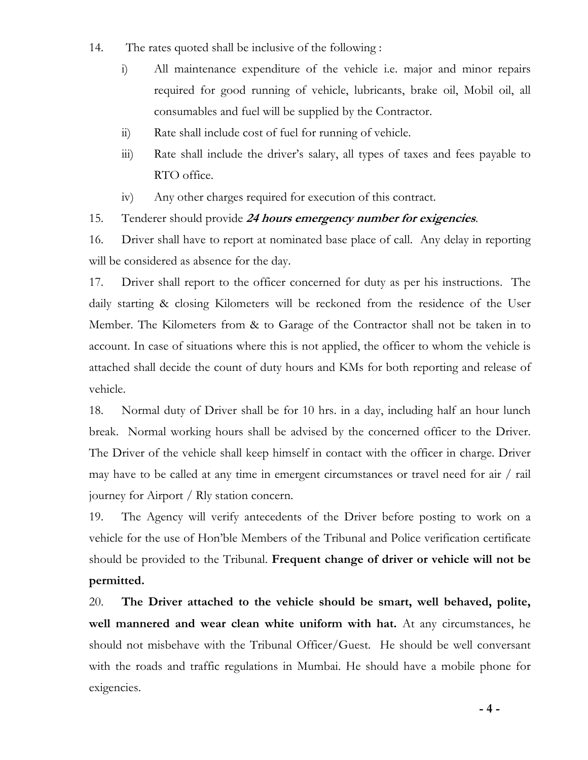- 14. The rates quoted shall be inclusive of the following :
	- i) All maintenance expenditure of the vehicle i.e. major and minor repairs required for good running of vehicle, lubricants, brake oil, Mobil oil, all consumables and fuel will be supplied by the Contractor.
	- ii) Rate shall include cost of fuel for running of vehicle.
	- iii) Rate shall include the driver's salary, all types of taxes and fees payable to RTO office.
	- iv) Any other charges required for execution of this contract.

# 15. Tenderer should provide **24 hours emergency number for exigencies**.

16. Driver shall have to report at nominated base place of call. Any delay in reporting will be considered as absence for the day.

17. Driver shall report to the officer concerned for duty as per his instructions. The daily starting & closing Kilometers will be reckoned from the residence of the User Member. The Kilometers from & to Garage of the Contractor shall not be taken in to account. In case of situations where this is not applied, the officer to whom the vehicle is attached shall decide the count of duty hours and KMs for both reporting and release of vehicle.

18. Normal duty of Driver shall be for 10 hrs. in a day, including half an hour lunch break. Normal working hours shall be advised by the concerned officer to the Driver. The Driver of the vehicle shall keep himself in contact with the officer in charge. Driver may have to be called at any time in emergent circumstances or travel need for air / rail journey for Airport / Rly station concern.

19. The Agency will verify antecedents of the Driver before posting to work on a vehicle for the use of Hon'ble Members of the Tribunal and Police verification certificate should be provided to the Tribunal. **Frequent change of driver or vehicle will not be permitted.** 

20. **The Driver attached to the vehicle should be smart, well behaved, polite, well mannered and wear clean white uniform with hat.** At any circumstances, he should not misbehave with the Tribunal Officer/Guest. He should be well conversant with the roads and traffic regulations in Mumbai. He should have a mobile phone for exigencies.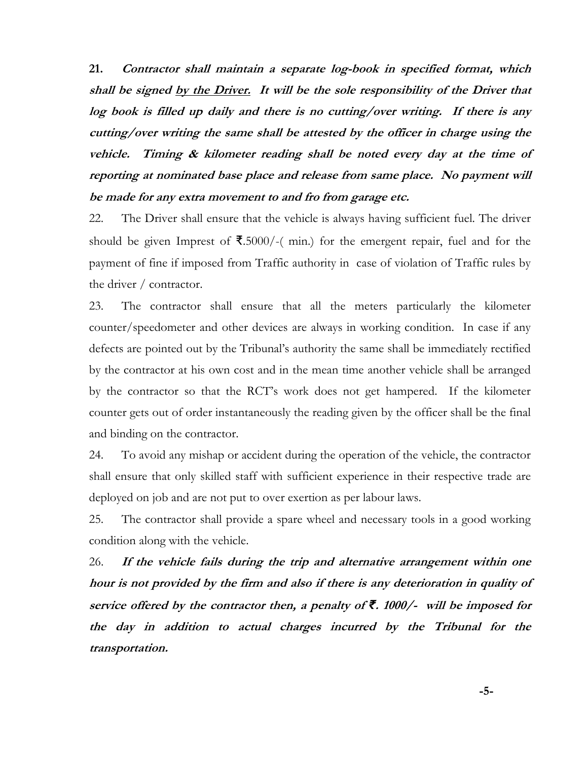**21. Contractor shall maintain a separate log-book in specified format, which shall be signed by the Driver. It will be the sole responsibility of the Driver that log book is filled up daily and there is no cutting/over writing. If there is any cutting/over writing the same shall be attested by the officer in charge using the vehicle. Timing & kilometer reading shall be noted every day at the time of reporting at nominated base place and release from same place. No payment will be made for any extra movement to and fro from garage etc.** 

22. The Driver shall ensure that the vehicle is always having sufficient fuel. The driver should be given Imprest of ₹.5000/-( min.) for the emergent repair, fuel and for the payment of fine if imposed from Traffic authority in case of violation of Traffic rules by the driver / contractor.

23. The contractor shall ensure that all the meters particularly the kilometer counter/speedometer and other devices are always in working condition. In case if any defects are pointed out by the Tribunal's authority the same shall be immediately rectified by the contractor at his own cost and in the mean time another vehicle shall be arranged by the contractor so that the RCT's work does not get hampered. If the kilometer counter gets out of order instantaneously the reading given by the officer shall be the final and binding on the contractor.

24. To avoid any mishap or accident during the operation of the vehicle, the contractor shall ensure that only skilled staff with sufficient experience in their respective trade are deployed on job and are not put to over exertion as per labour laws.

25. The contractor shall provide a spare wheel and necessary tools in a good working condition along with the vehicle.

26. **If the vehicle fails during the trip and alternative arrangement within one hour is not provided by the firm and also if there is any deterioration in quality of service offered by the contractor then, a penalty of** *₹***. 1000/- will be imposed for the day in addition to actual charges incurred by the Tribunal for the transportation.**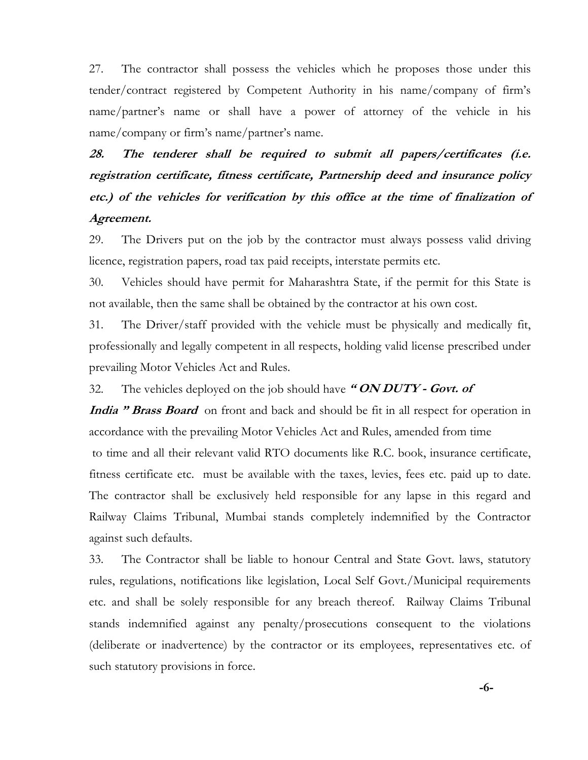27. The contractor shall possess the vehicles which he proposes those under this tender/contract registered by Competent Authority in his name/company of firm's name/partner's name or shall have a power of attorney of the vehicle in his name/company or firm's name/partner's name.

# **28. The tenderer shall be required to submit all papers/certificates (i.e. registration certificate, fitness certificate, Partnership deed and insurance policy etc.) of the vehicles for verification by this office at the time of finalization of Agreement.**

29. The Drivers put on the job by the contractor must always possess valid driving licence, registration papers, road tax paid receipts, interstate permits etc.

30. Vehicles should have permit for Maharashtra State, if the permit for this State is not available, then the same shall be obtained by the contractor at his own cost.

31. The Driver/staff provided with the vehicle must be physically and medically fit, professionally and legally competent in all respects, holding valid license prescribed under prevailing Motor Vehicles Act and Rules.

32. The vehicles deployed on the job should have **" ON DUTY - Govt. of** 

**India " Brass Board** on front and back and should be fit in all respect for operation in accordance with the prevailing Motor Vehicles Act and Rules, amended from time to time and all their relevant valid RTO documents like R.C. book, insurance certificate, fitness certificate etc. must be available with the taxes, levies, fees etc. paid up to date. The contractor shall be exclusively held responsible for any lapse in this regard and Railway Claims Tribunal, Mumbai stands completely indemnified by the Contractor against such defaults.

33. The Contractor shall be liable to honour Central and State Govt. laws, statutory rules, regulations, notifications like legislation, Local Self Govt./Municipal requirements etc. and shall be solely responsible for any breach thereof. Railway Claims Tribunal stands indemnified against any penalty/prosecutions consequent to the violations (deliberate or inadvertence) by the contractor or its employees, representatives etc. of such statutory provisions in force.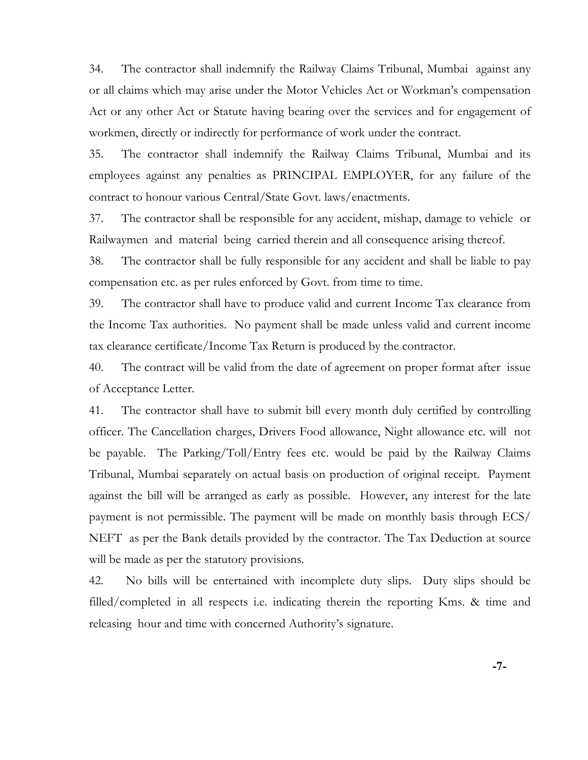34. The contractor shall indemnify the Railway Claims Tribunal, Mumbai against any or all claims which may arise under the Motor Vehicles Act or Workman's compensation Act or any other Act or Statute having bearing over the services and for engagement of workmen, directly or indirectly for performance of work under the contract.

35. The contractor shall indemnify the Railway Claims Tribunal, Mumbai and its employees against any penalties as PRINCIPAL EMPLOYER, for any failure of the contract to honour various Central/State Govt. laws/enactments.

37. The contractor shall be responsible for any accident, mishap, damage to vehicle or Railwaymen and material being carried therein and all consequence arising thereof.

38. The contractor shall be fully responsible for any accident and shall be liable to pay compensation etc. as per rules enforced by Govt. from time to time.

39. The contractor shall have to produce valid and current Income Tax clearance from the Income Tax authorities. No payment shall be made unless valid and current income tax clearance certificate/Income Tax Return is produced by the contractor.

40. The contract will be valid from the date of agreement on proper format after issue of Acceptance Letter.

41. The contractor shall have to submit bill every month duly certified by controlling officer. The Cancellation charges, Drivers Food allowance, Night allowance etc. will not be payable. The Parking/Toll/Entry fees etc. would be paid by the Railway Claims Tribunal, Mumbai separately on actual basis on production of original receipt. Payment against the bill will be arranged as early as possible. However, any interest for the late payment is not permissible. The payment will be made on monthly basis through ECS/ NEFT as per the Bank details provided by the contractor. The Tax Deduction at source will be made as per the statutory provisions.

42. No bills will be entertained with incomplete duty slips. Duty slips should be filled/completed in all respects i.e. indicating therein the reporting Kms. & time and releasing hour and time with concerned Authority's signature.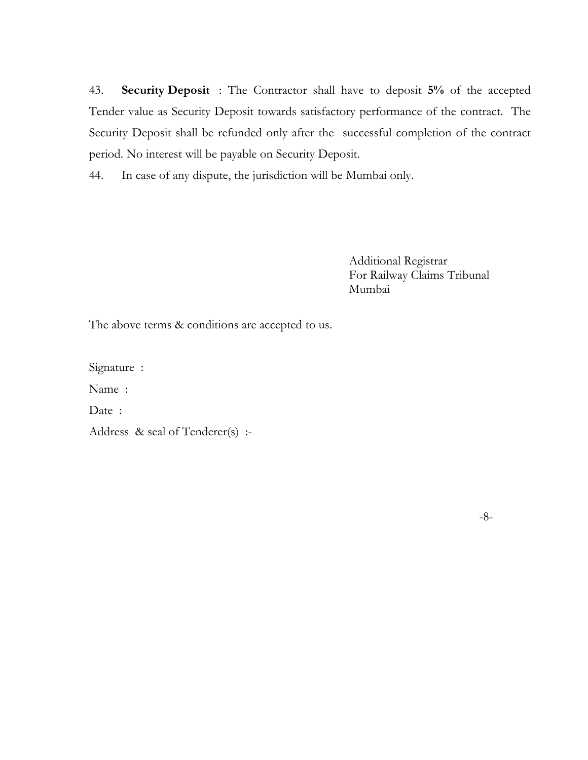43. **Security Deposit** : The Contractor shall have to deposit **5%** of the accepted Tender value as Security Deposit towards satisfactory performance of the contract. The Security Deposit shall be refunded only after the successful completion of the contract period. No interest will be payable on Security Deposit.

44. In case of any dispute, the jurisdiction will be Mumbai only.

 Additional Registrar For Railway Claims Tribunal Mumbai

The above terms  $\&$  conditions are accepted to us.

Signature :

Name :

Date:

Address & seal of Tenderer(s) :-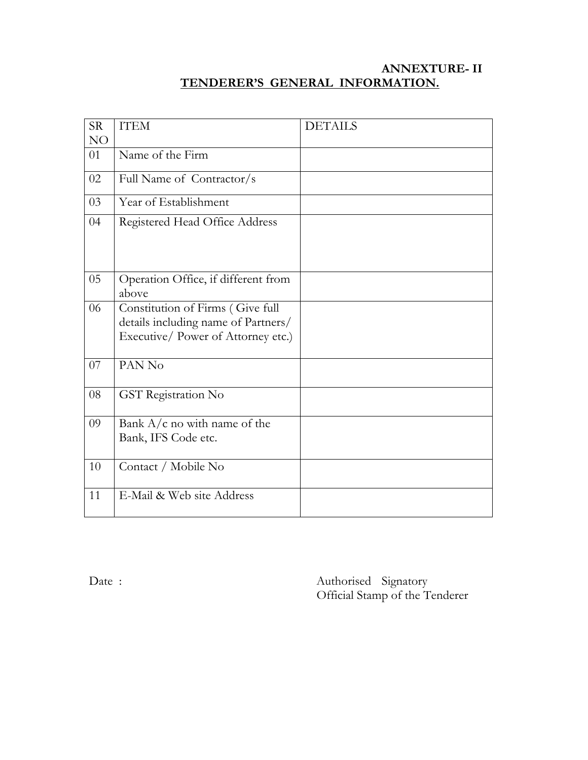# **ANNEXTURE- II TENDERER'S GENERAL INFORMATION.**

| <b>SR</b> | <b>ITEM</b>                                                                                                   | <b>DETAILS</b> |
|-----------|---------------------------------------------------------------------------------------------------------------|----------------|
| NO        |                                                                                                               |                |
| 01        | Name of the Firm                                                                                              |                |
| 02        | Full Name of Contractor/s                                                                                     |                |
| 03        | Year of Establishment                                                                                         |                |
| 04        | Registered Head Office Address                                                                                |                |
| 05        | Operation Office, if different from<br>above                                                                  |                |
| 06        | Constitution of Firms (Give full<br>details including name of Partners/<br>Executive/ Power of Attorney etc.) |                |
| 07        | PAN No                                                                                                        |                |
| 08        | GST Registration No                                                                                           |                |
| 09        | Bank $A/c$ no with name of the<br>Bank, IFS Code etc.                                                         |                |
| 10        | Contact / Mobile No                                                                                           |                |
| 11        | E-Mail & Web site Address                                                                                     |                |

Date : Authorised Signatory Official Stamp of the Tenderer